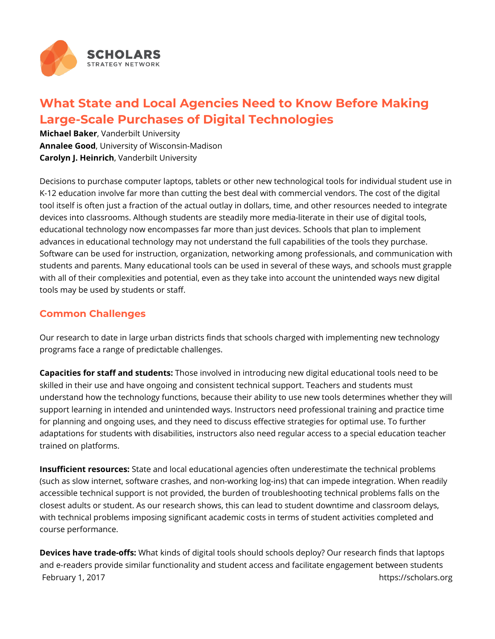

## **What State and Local Agencies Need to Know Before Making Large-Scale Purchases of Digital Technologies**

**Michael Baker**, Vanderbilt University **Annalee Good**, University of Wisconsin-Madison **Carolyn J. Heinrich**, Vanderbilt University

Decisions to purchase computer laptops, tablets or other new technological tools for individual student use in K-12 education involve far more than cutting the best deal with commercial vendors. The cost of the digital tool itself is often just a fraction of the actual outlay in dollars, time, and other resources needed to integrate devices into classrooms. Although students are steadily more media-literate in their use of digital tools, educational technology now encompasses far more than just devices. Schools that plan to implement advances in educational technology may not understand the full capabilities of the tools they purchase. Software can be used for instruction, organization, networking among professionals, and communication with students and parents. Many educational tools can be used in several of these ways, and schools must grapple with all of their complexities and potential, even as they take into account the unintended ways new digital tools may be used by students or staff.

## **Common Challenges**

Our research to date in large urban districts finds that schools charged with implementing new technology programs face a range of predictable challenges.

**Capacities for staff and students:** Those involved in introducing new digital educational tools need to be skilled in their use and have ongoing and consistent technical support. Teachers and students must understand how the technology functions, because their ability to use new tools determines whether they will support learning in intended and unintended ways. Instructors need professional training and practice time for planning and ongoing uses, and they need to discuss effective strategies for optimal use. To further adaptations for students with disabilities, instructors also need regular access to a special education teacher trained on platforms.

**Insufficient resources:** State and local educational agencies often underestimate the technical problems (such as slow internet, software crashes, and non-working log-ins) that can impede integration. When readily accessible technical support is not provided, the burden of troubleshooting technical problems falls on the closest adults or student. As our research shows, this can lead to student downtime and classroom delays, with technical problems imposing significant academic costs in terms of student activities completed and course performance.

**Devices have trade-offs:** What kinds of digital tools should schools deploy? Our research finds that laptops and e-readers provide similar functionality and student access and facilitate engagement between students February 1, 2017 **https://scholars.org**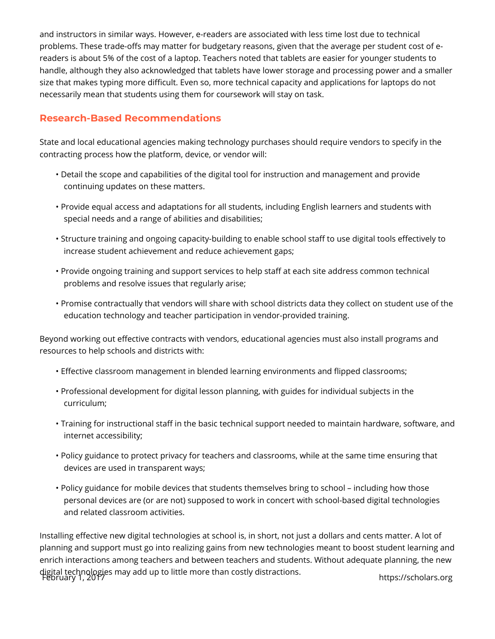and instructors in similar ways. However, e-readers are associated with less time lost due to technical problems. These trade-offs may matter for budgetary reasons, given that the average per student cost of ereaders is about 5% of the cost of a laptop. Teachers noted that tablets are easier for younger students to handle, although they also acknowledged that tablets have lower storage and processing power and a smaller size that makes typing more difficult. Even so, more technical capacity and applications for laptops do not necessarily mean that students using them for coursework will stay on task.

## **Research-Based Recommendations**

State and local educational agencies making technology purchases should require vendors to specify in the contracting process how the platform, device, or vendor will:

- Detail the scope and capabilities of the digital tool for instruction and management and provide continuing updates on these matters.
- Provide equal access and adaptations for all students, including English learners and students with special needs and a range of abilities and disabilities;
- Structure training and ongoing capacity-building to enable school staff to use digital tools effectively to increase student achievement and reduce achievement gaps;
- Provide ongoing training and support services to help staff at each site address common technical problems and resolve issues that regularly arise;
- Promise contractually that vendors will share with school districts data they collect on student use of the education technology and teacher participation in vendor-provided training.

Beyond working out effective contracts with vendors, educational agencies must also install programs and resources to help schools and districts with:

- Effective classroom management in blended learning environments and flipped classrooms;
- Professional development for digital lesson planning, with guides for individual subjects in the curriculum;
- Training for instructional staff in the basic technical support needed to maintain hardware, software, and internet accessibility;
- Policy guidance to protect privacy for teachers and classrooms, while at the same time ensuring that devices are used in transparent ways;
- Policy guidance for mobile devices that students themselves bring to school including how those personal devices are (or are not) supposed to work in concert with school-based digital technologies and related classroom activities.

Installing effective new digital technologies at school is, in short, not just a dollars and cents matter. A lot of planning and support must go into realizing gains from new technologies meant to boost student learning and enrich interactions among teachers and between teachers and students. Without adequate planning, the new digital technologies may add up to little more than costly distractions. February 1, 2017 https://scholars.org